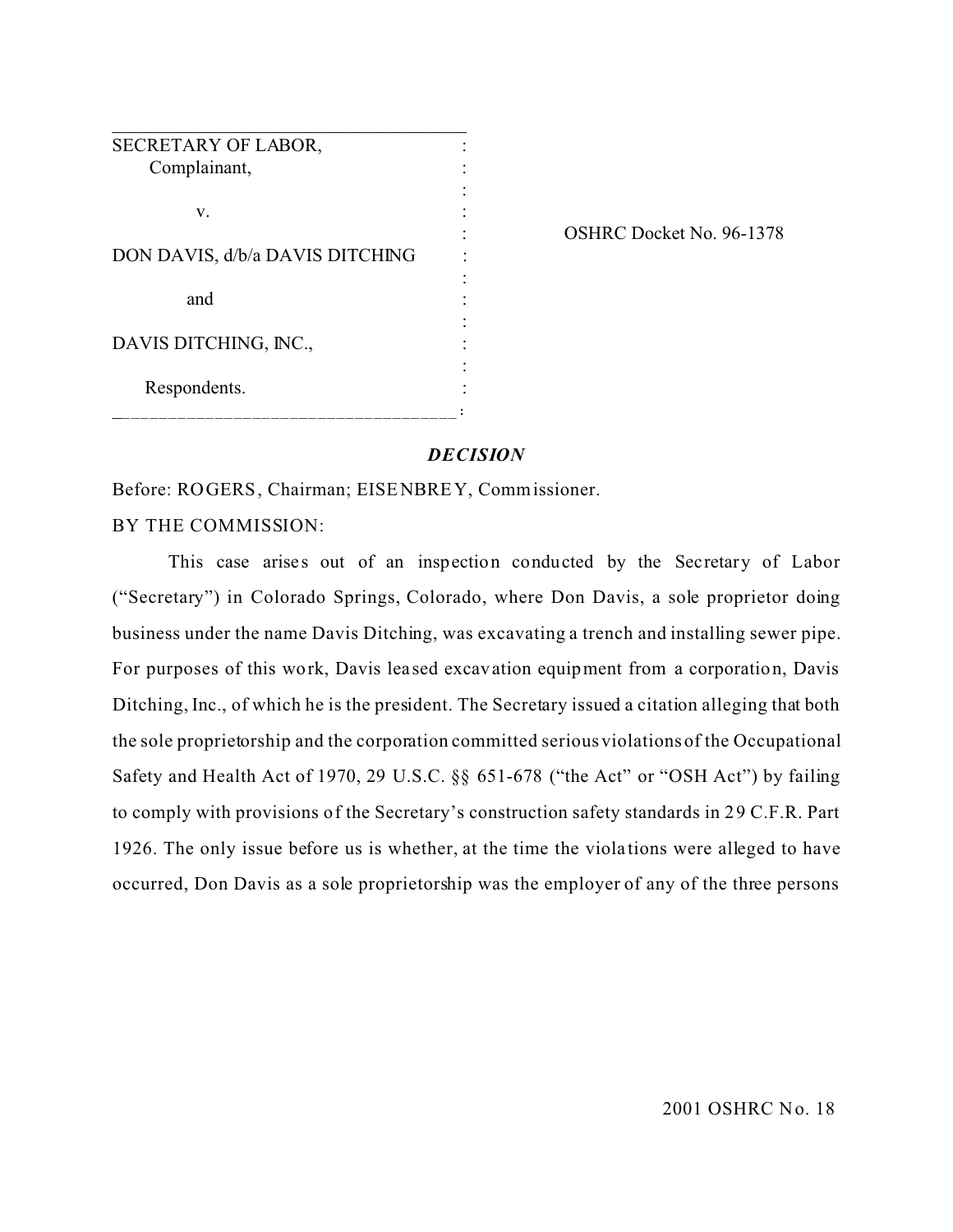| SECRETARY OF LABOR,             |  |
|---------------------------------|--|
| Complainant,                    |  |
|                                 |  |
| v.                              |  |
| DON DAVIS, d/b/a DAVIS DITCHING |  |
| and                             |  |
|                                 |  |
| DAVIS DITCHING, INC.,           |  |
| Respondents.                    |  |
|                                 |  |

OSHRC Docket No. 96-1378

# *DECISION*

Before: ROGERS, Chairman; EISENBREY, Commissioner.

BY THE COMMISSION:

This case arises out of an inspection conducted by the Secretary of Labor ("Secretary") in Colorado Springs, Colorado, where Don Davis, a sole proprietor doing business under the name Davis Ditching, was excavating a trench and installing sewer pipe. For purposes of this work, Davis lea sed excavation equipment from a corporation, Davis Ditching, Inc., of which he is the president. The Secretary issued a citation alleging that both the sole proprietorship and the corporation committed serious violations of the Occupational Safety and Health Act of 1970, 29 U.S.C. §§ 651-678 ("the Act" or "OSH Act") by failing to comply with provisions of the Secretary's construction safety standards in 29 C.F.R. Part 1926. The only issue before us is whether, at the time the viola tions were alleged to have occurred, Don Davis as a sole proprietorship was the employer of any of the three persons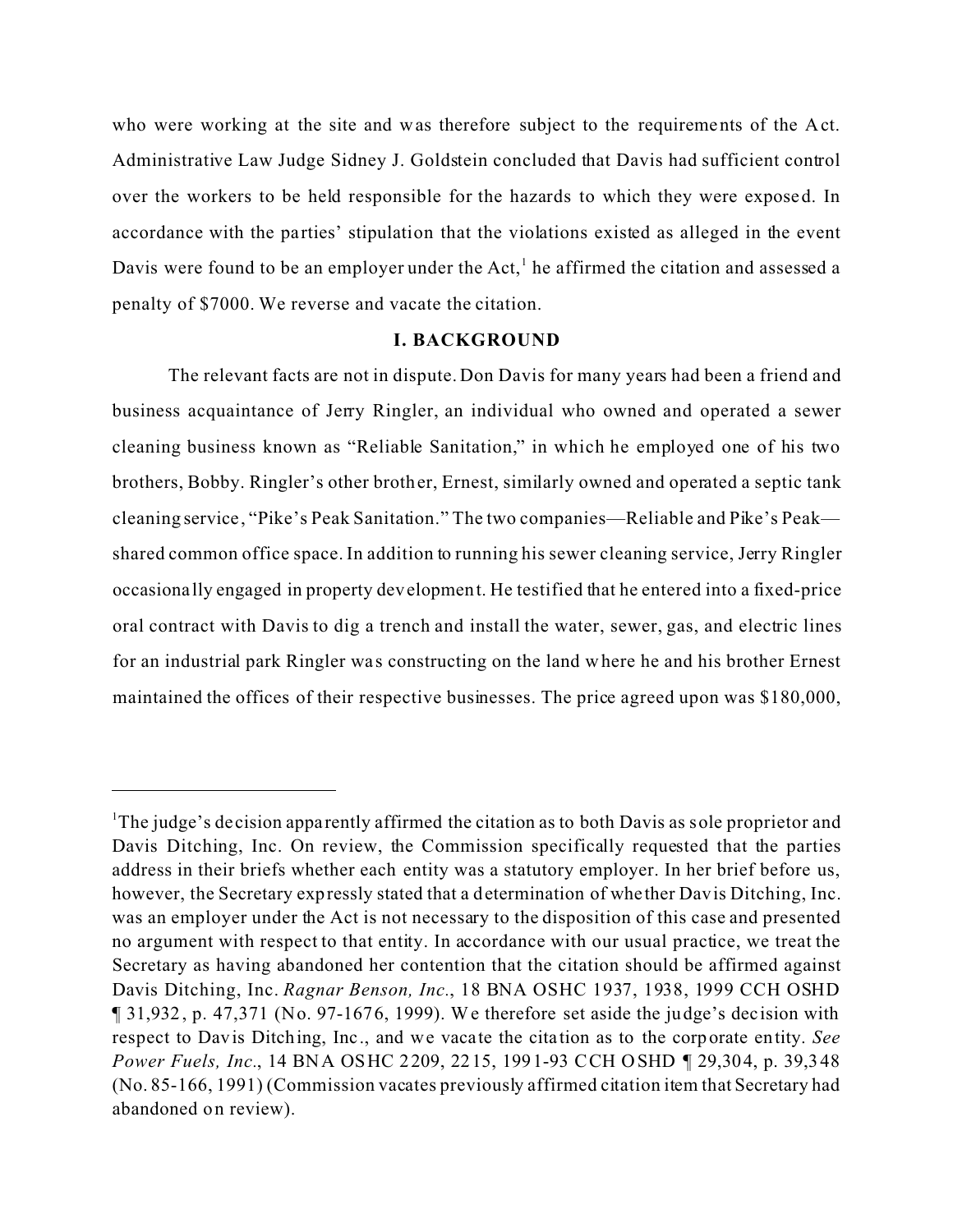who were working at the site and was therefore subject to the requirements of the Act. Administrative Law Judge Sidney J. Goldstein concluded that Davis had sufficient control over the workers to be held responsible for the hazards to which they were exposed. In accordance with the parties' stipulation that the violations existed as alleged in the event Davis were found to be an employer under the Act,<sup>1</sup> he affirmed the citation and assessed a penalty of \$7000. We reverse and vacate the citation.

#### **I. BACKGROUND**

The relevant facts are not in dispute. Don Davis for many years had been a friend and business acquaintance of Jerry Ringler, an individual who owned and operated a sewer cleaning business known as "Reliable Sanitation," in which he employed one of his two brothers, Bobby. Ringler's other brother, Ernest, similarly owned and operated a septic tank cleaning service, "Pike's Peak Sanitation." The two companies—Reliable and Pike's Peak shared common office space. In addition to running his sewer cleaning service, Jerry Ringler occasiona lly engaged in property development. He testified that he entered into a fixed-price oral contract with Davis to dig a trench and install the water, sewer, gas, and electric lines for an industrial park Ringler was constructing on the land where he and his brother Ernest maintained the offices of their respective businesses. The price agreed upon was \$180,000,

<sup>&</sup>lt;sup>1</sup>The judge's decision apparently affirmed the citation as to both Davis as sole proprietor and Davis Ditching, Inc. On review, the Commission specifically requested that the parties address in their briefs whether each entity was a statutory employer. In her brief before us, however, the Secretary expressly stated that a determination of whe ther Davis Ditching, Inc. was an employer under the Act is not necessary to the disposition of this case and presented no argument with respect to that entity. In accordance with our usual practice, we treat the Secretary as having abandoned her contention that the citation should be affirmed against Davis Ditching, Inc. *Ragnar Benson, Inc.*, 18 BNA OSHC 1937, 1938, 1999 CCH OSHD ¶ 31,932, p. 47,371 (No. 97-1676, 1999). We therefore set aside the judge's decision with respect to Davis Ditching, Inc., and we vacate the cita tion as to the corporate entity. *See Power Fuels, Inc.*, 14 BNA OSHC 2209, 2215, 1991-93 CCH OSHD ¶ 29,304, p. 39,348 (No. 85-166, 1991) (Commission vacates previously affirmed citation item that Secretary had abandoned on review).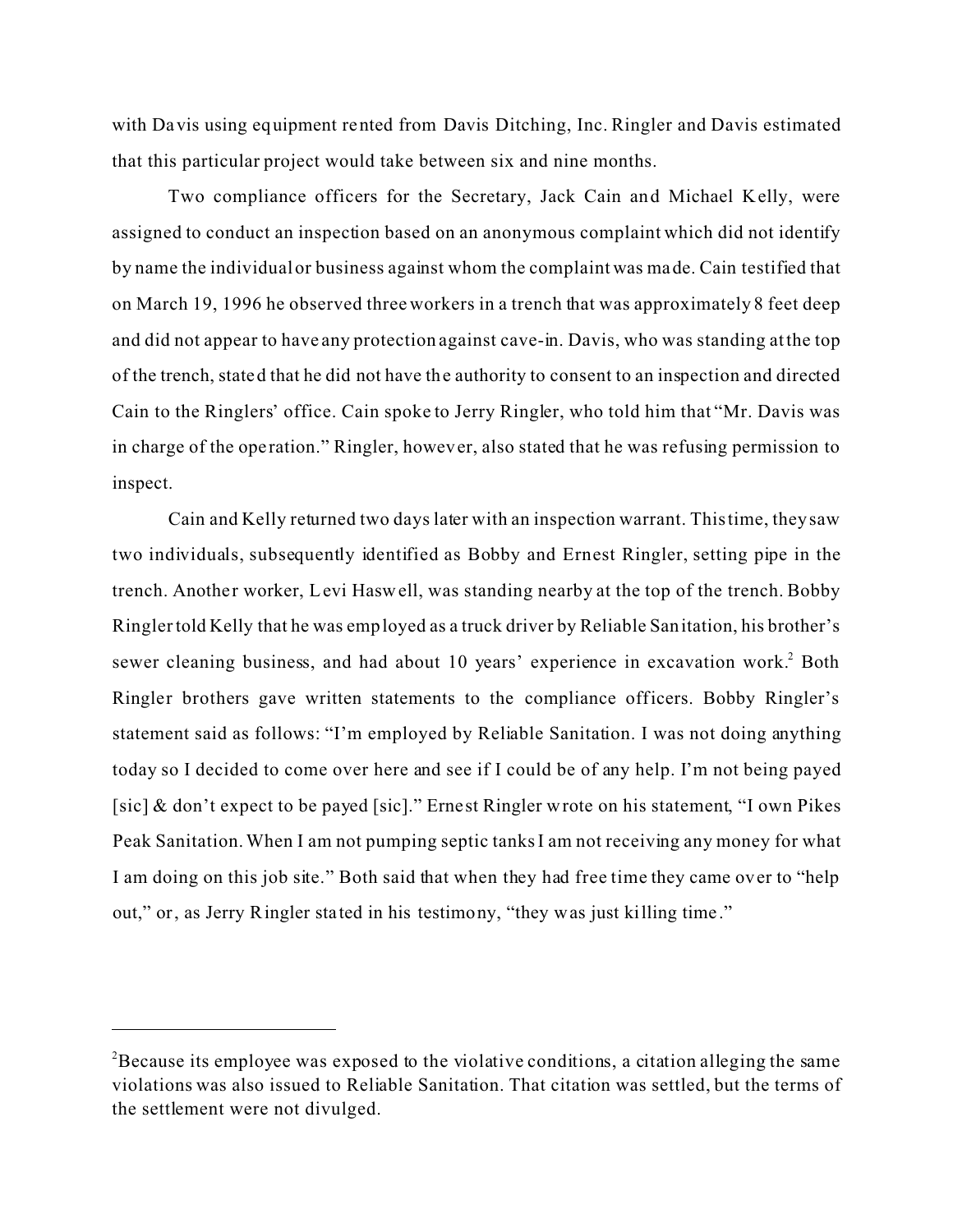with Davis using equipment rented from Davis Ditching, Inc. Ringler and Davis estimated that this particular project would take between six and nine months.

Two compliance officers for the Secretary, Jack Cain and Michael Kelly, were assigned to conduct an inspection based on an anonymous complaint which did not identify by name the individual or business against whom the complaint was made. Cain testified that on March 19, 1996 he observed three workers in a trench that was approximately 8 feet deep and did not appear to have any protection against cave-in. Davis, who was standing at the top of the trench, stated that he did not have the authority to consent to an inspection and directed Cain to the Ringlers' office. Cain spoke to Jerry Ringler, who told him that "Mr. Davis was in charge of the ope ration." Ringler, however, also stated that he was refusing permission to inspect.

Cain and Kelly returned two days later with an inspection warrant. This time, they saw two individuals, subsequently identified as Bobby and Ernest Ringler, setting pipe in the trench. Another worker, Levi Haswell, was standing nearby at the top of the trench. Bobby Ringler told Kelly that he was employed as a truck driver by Reliable Sanitation, his brother's sewer cleaning business, and had about 10 years' experience in excavation work.<sup>2</sup> Both Ringler brothers gave written statements to the compliance officers. Bobby Ringler's statement said as follows: "I'm employed by Reliable Sanitation. I was not doing anything today so I decided to come over here and see if I could be of any help. I'm not being payed [sic] & don't expect to be payed [sic]." Ernest Ringler wrote on his statement, "I own Pikes Peak Sanitation. When I am not pumping septic tanks I am not receiving any money for what I am doing on this job site." Both said that when they had free time they came over to "help out," or, as Jerry Ringler sta ted in his testimony, "they was just killing time ."

 $2B$  Because its employee was exposed to the violative conditions, a citation alleging the same violations was also issued to Reliable Sanitation. That citation was settled, but the terms of the settlement were not divulged.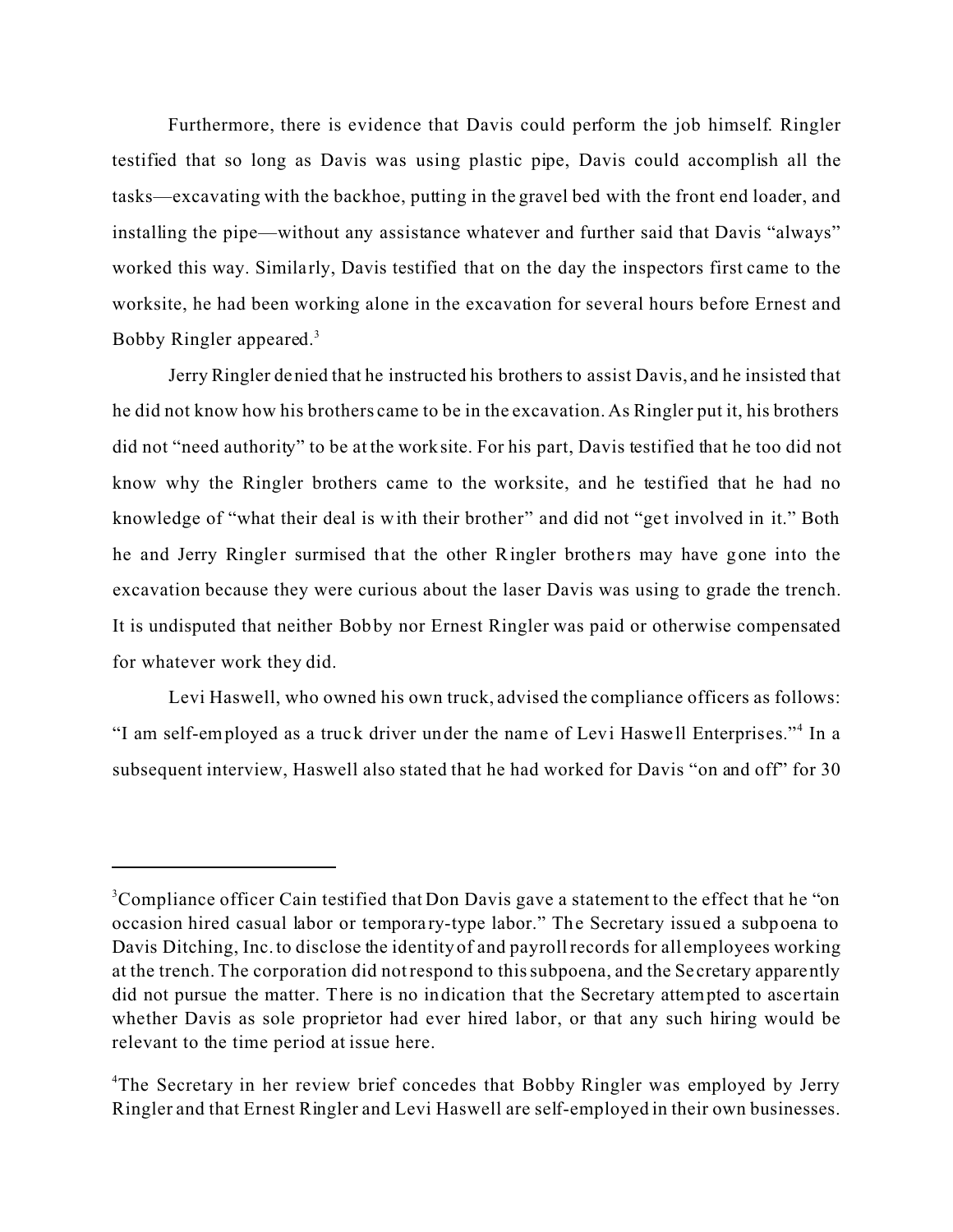Furthermore, there is evidence that Davis could perform the job himself. Ringler testified that so long as Davis was using plastic pipe, Davis could accomplish all the tasks—excavating with the backhoe, putting in the gravel bed with the front end loader, and installing the pipe—without any assistance whatever and further said that Davis "always" worked this way. Similarly, Davis testified that on the day the inspectors first came to the worksite, he had been working alone in the excavation for several hours before Ernest and Bobby Ringler appeared.<sup>3</sup>

Jerry Ringler denied that he instructed his brothers to assist Davis, and he insisted that he did not know how his brothers came to be in the excavation. As Ringler put it, his brothers did not "need authority" to be at the worksite. For his part, Davis testified that he too did not know why the Ringler brothers came to the worksite, and he testified that he had no knowledge of "what their deal is with their brother" and did not "get involved in it." Both he and Jerry Ringler surmised that the other Ringler brothers may have gone into the excavation because they were curious about the laser Davis was using to grade the trench. It is undisputed that neither Bobby nor Ernest Ringler was paid or otherwise compensated for whatever work they did.

Levi Haswell, who owned his own truck, advised the compliance officers as follows: "I am self-employed as a truck driver under the name of Levi Haswell Enterprises."<sup>4</sup> In a subsequent interview, Haswell also stated that he had worked for Davis "on and off" for 30

<sup>&</sup>lt;sup>3</sup>Compliance officer Cain testified that Don Davis gave a statement to the effect that he "on occasion hired casual labor or tempora ry-type labor." The Secretary issued a subpoena to Davis Ditching, Inc. to disclose the identity of and payroll records for all employees working at the trench. The corporation did not respond to this subpoena, and the Se cretary apparently did not pursue the matter. There is no indication that the Secretary attempted to asce rtain whether Davis as sole proprietor had ever hired labor, or that any such hiring would be relevant to the time period at issue here.

<sup>&</sup>lt;sup>4</sup>The Secretary in her review brief concedes that Bobby Ringler was employed by Jerry Ringler and that Ernest Ringler and Levi Haswell are self-employed in their own businesses.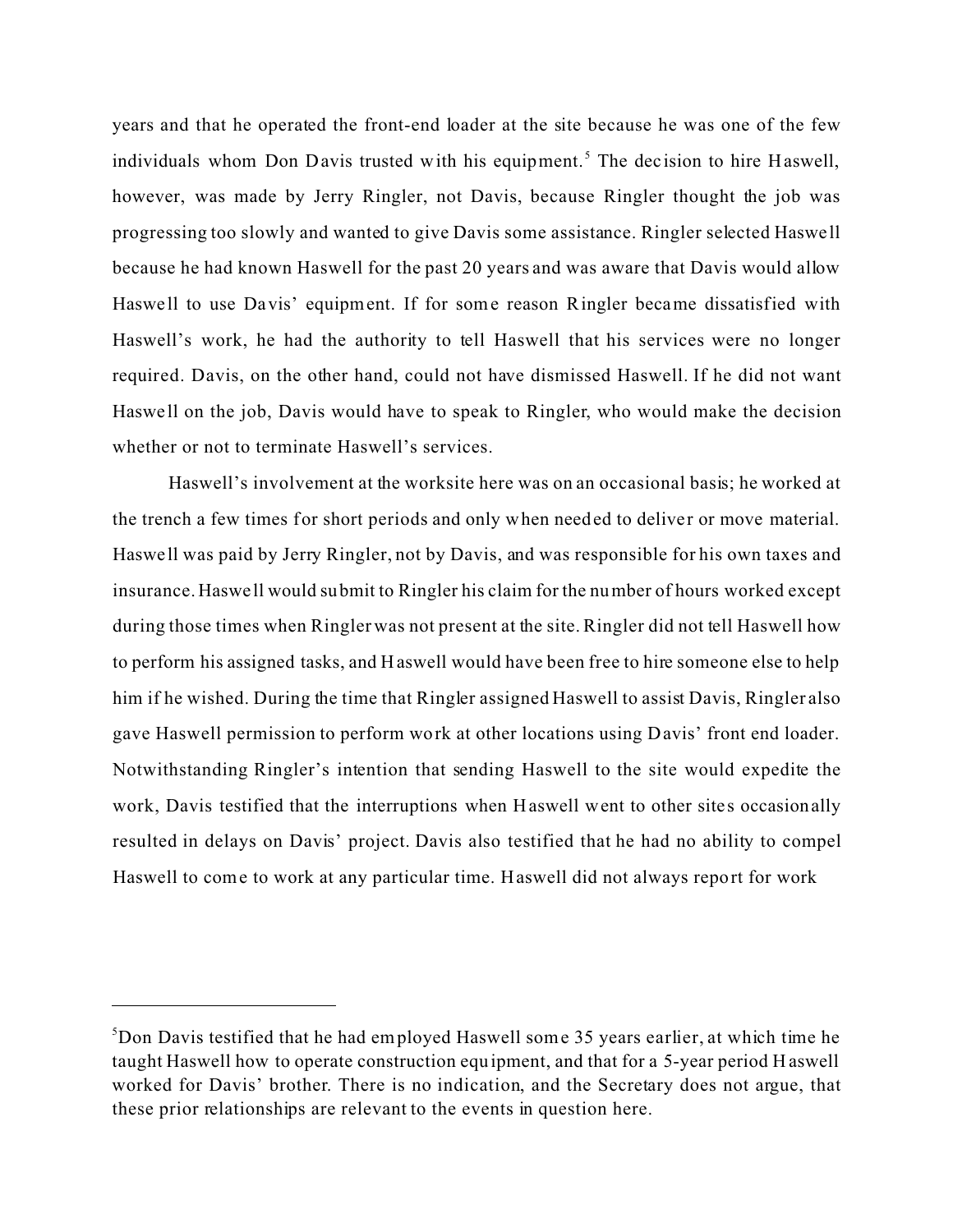years and that he operated the front-end loader at the site because he was one of the few individuals whom Don Davis trusted with his equipment.<sup>5</sup> The decision to hire Haswell, however, was made by Jerry Ringler, not Davis, because Ringler thought the job was progressing too slowly and wanted to give Davis some assistance. Ringler selected Haswe ll because he had known Haswell for the past 20 years and was aware that Davis would allow Haswe ll to use Davis' equipment. If for some reason Ringler became dissatisfied with Haswell's work, he had the authority to tell Haswell that his services were no longer required. Davis, on the other hand, could not have dismissed Haswell. If he did not want Haswe ll on the job, Davis would have to speak to Ringler, who would make the decision whether or not to terminate Haswell's services.

Haswell's involvement at the worksite here was on an occasional basis; he worked at the trench a few times for short periods and only when needed to deliver or move material. Haswe ll was paid by Jerry Ringler, not by Davis, and was responsible for his own taxes and insurance. Haswe ll would submit to Ringler his claim for the number of hours worked except during those times when Ringler was not present at the site. Ringler did not tell Haswell how to perform his assigned tasks, and Haswell would have been free to hire someone else to help him if he wished. During the time that Ringler assigned Haswell to assist Davis, Ringler also gave Haswell permission to perform work at other locations using Davis' front end loader. Notwithstanding Ringler's intention that sending Haswell to the site would expedite the work, Davis testified that the interruptions when Haswell went to other sites occasionally resulted in delays on Davis' project. Davis also testified that he had no ability to compel Haswell to come to work at any particular time. Haswell did not always report for work

<sup>5</sup> Don Davis testified that he had employed Haswell some 35 years earlier, at which time he taught Haswell how to operate construction equipment, and that for a 5-year period Haswell worked for Davis' brother. There is no indication, and the Secretary does not argue, that these prior relationships are relevant to the events in question here.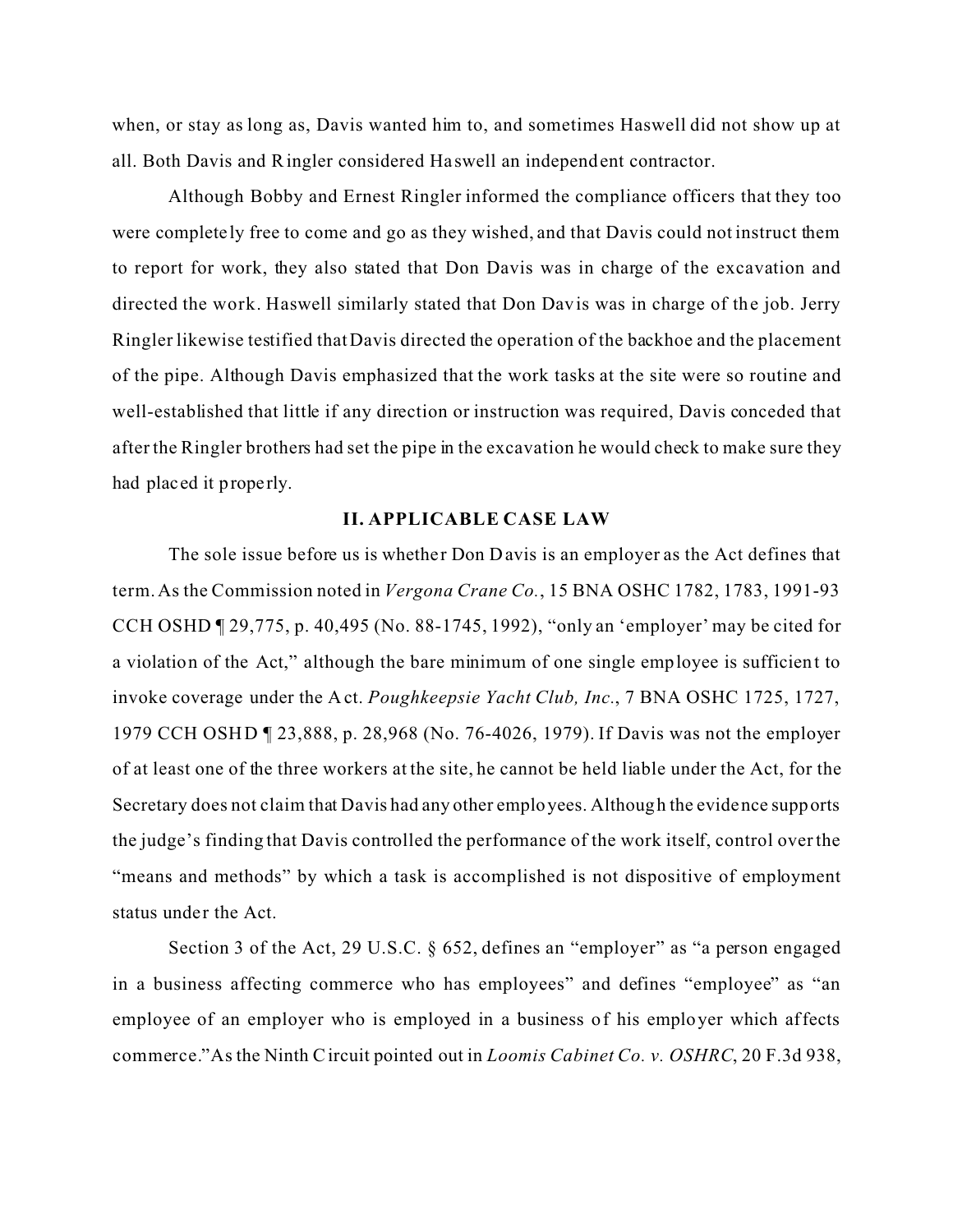when, or stay as long as, Davis wanted him to, and sometimes Haswell did not show up at all. Both Davis and Ringler considered Ha swell an independent contractor.

Although Bobby and Ernest Ringler informed the compliance officers that they too were completely free to come and go as they wished, and that Davis could not instruct them to report for work, they also stated that Don Davis was in charge of the excavation and directed the work. Haswell similarly stated that Don Davis was in charge of the job. Jerry Ringler likewise testified that Davis directed the operation of the backhoe and the placement of the pipe. Although Davis emphasized that the work tasks at the site were so routine and well-established that little if any direction or instruction was required, Davis conceded that after the Ringler brothers had set the pipe in the excavation he would check to make sure they had placed it properly.

#### **II. APPLICABLE CASE LAW**

The sole issue before us is whether Don Davis is an employer as the Act defines that term. As the Commission noted in *Vergona Crane Co.*, 15 BNA OSHC 1782, 1783, 1991-93 CCH OSHD ¶ 29,775, p. 40,495 (No. 88-1745, 1992), "only an 'employer' may be cited for a violation of the Act," although the bare minimum of one single employee is sufficient to invoke coverage under the A ct. *Poughkeepsie Yacht Club, Inc.*, 7 BNA OSHC 1725, 1727, 1979 CCH OSHD ¶ 23,888, p. 28,968 (No. 76-4026, 1979). If Davis was not the employer of at least one of the three workers at the site, he cannot be held liable under the Act, for the Secretary does not claim that Davis had any other employees. Although the evidence supports the judge's finding that Davis controlled the performance of the work itself, control over the "means and methods" by which a task is accomplished is not dispositive of employment status under the Act.

Section 3 of the Act, 29 U.S.C. § 652, defines an "employer" as "a person engaged in a business affecting commerce who has employees" and defines "employee" as "an employee of an employer who is employed in a business of his employer which affects commerce."As the Ninth C ircuit pointed out in *Loomis Cabinet Co. v. OSHRC*, 20 F.3d 938,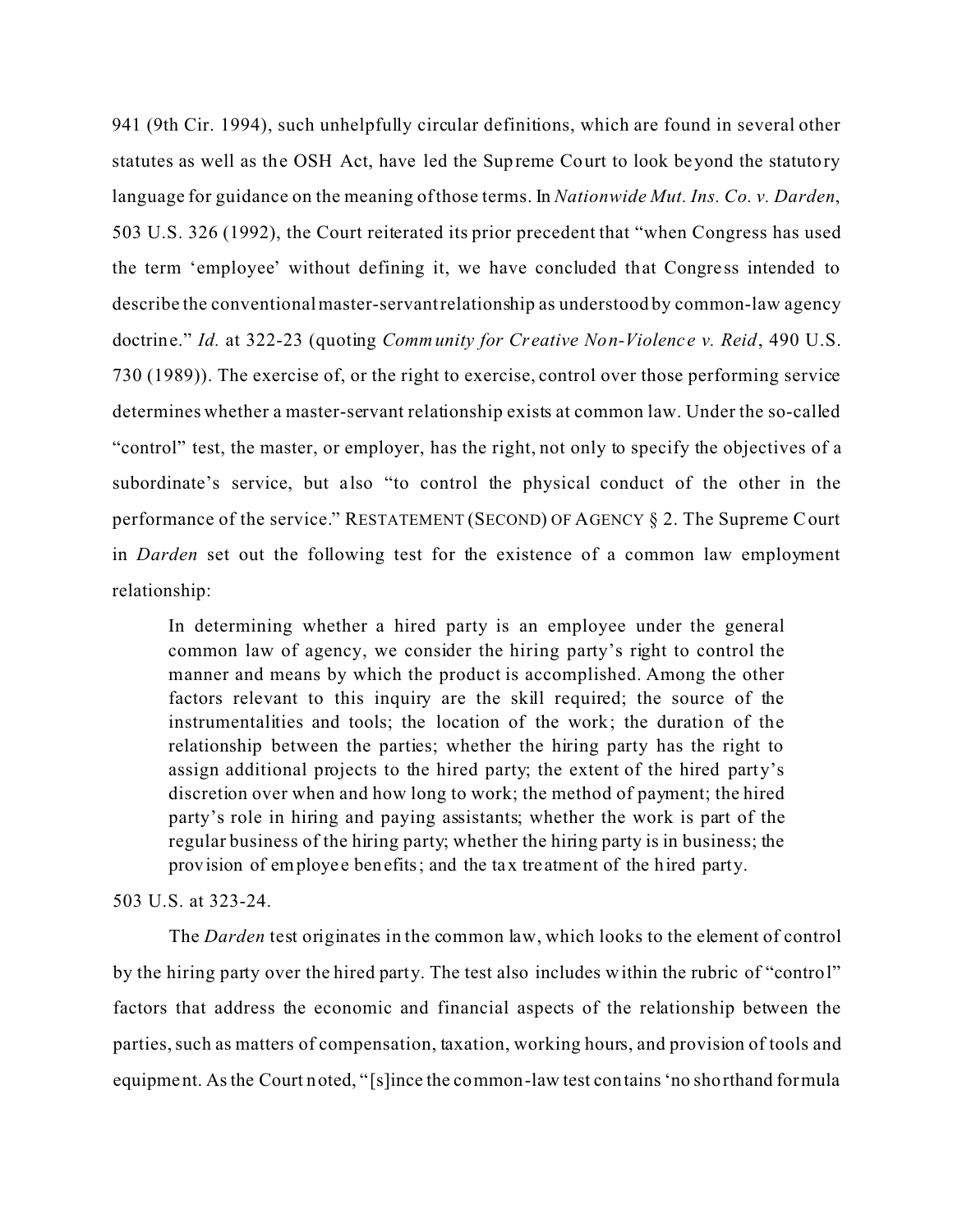941 (9th Cir. 1994), such unhelpfully circular definitions, which are found in several other statutes as well as the OSH Act, have led the Supreme Court to look beyond the statutory language for guidance on the meaning of those terms. In *Nationwide Mut. Ins. Co. v. Darden*, 503 U.S. 326 (1992), the Court reiterated its prior precedent that "when Congress has used the term 'employee' without defining it, we have concluded that Congress intended to describe the conventional master-servant relationship as understood by common-law agency doctrine." *Id.* at 322-23 (quoting *Community for Creative Non-Violence v. Reid*, 490 U.S. 730 (1989)). The exercise of, or the right to exercise, control over those performing service determines whether a master-servant relationship exists at common law. Under the so-called "control" test, the master, or employer, has the right, not only to specify the objectives of a subordinate's service, but also "to control the physical conduct of the other in the performance of the service." RESTATEMENT (SECOND) OF AGENCY § 2. The Supreme Court in *Darden* set out the following test for the existence of a common law employment relationship:

In determining whether a hired party is an employee under the general common law of agency, we consider the hiring party's right to control the manner and means by which the product is accomplished. Among the other factors relevant to this inquiry are the skill required; the source of the instrumentalities and tools; the location of the work; the duration of the relationship between the parties; whether the hiring party has the right to assign additional projects to the hired party; the extent of the hired party's discretion over when and how long to work; the method of payment; the hired party's role in hiring and paying assistants; whether the work is part of the regular business of the hiring party; whether the hiring party is in business; the provision of employee benefits; and the tax treatment of the hired party.

# 503 U.S. at 323-24.

The *Darden* test originates in the common law, which looks to the element of control by the hiring party over the hired party. The test also includes within the rubric of "control" factors that address the economic and financial aspects of the relationship between the parties, such as matters of compensation, taxation, working hours, and provision of tools and equipment. As the Court noted, "[s]ince the common-law test contains 'no shorthand formula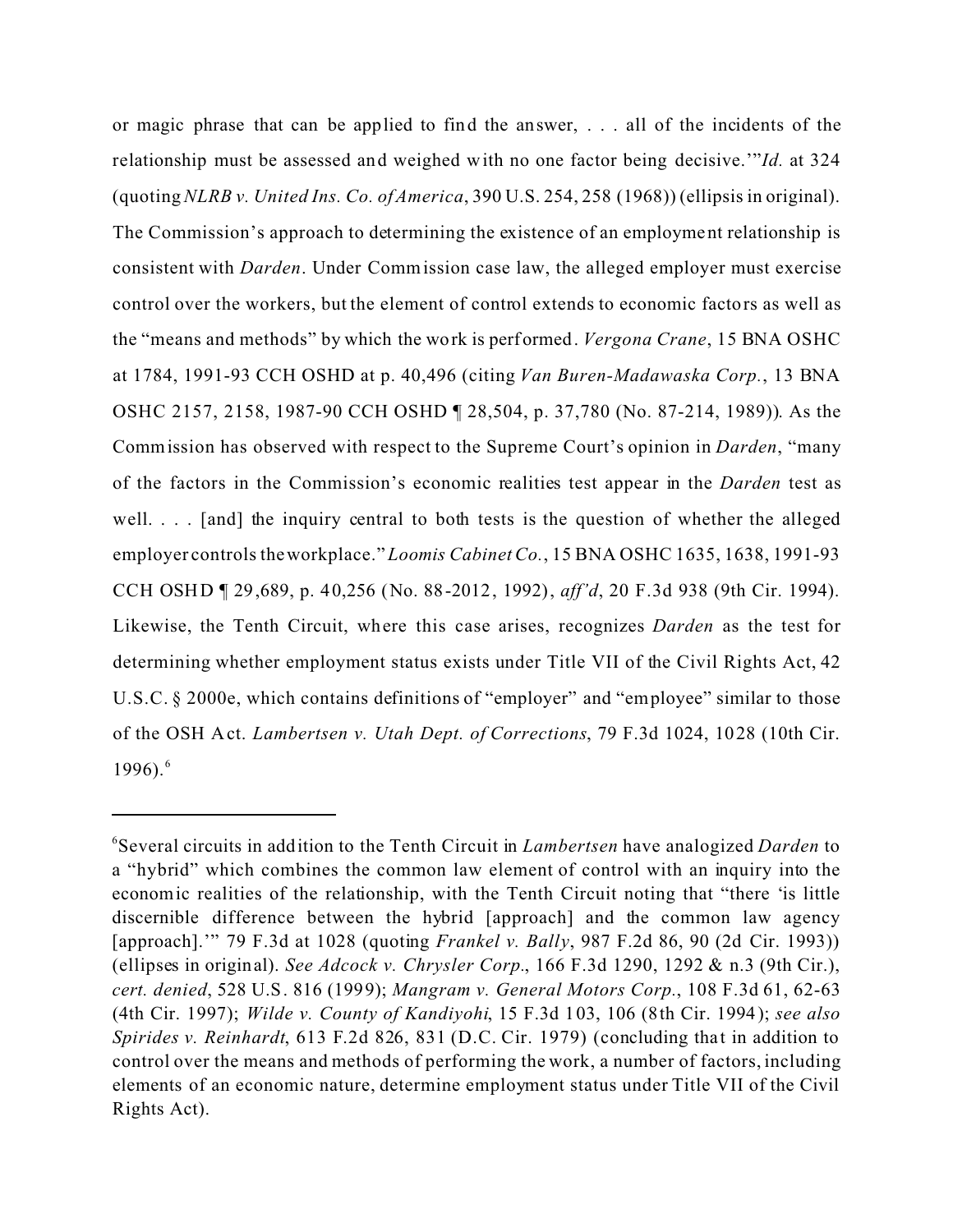or magic phrase that can be applied to find the answer, . . . all of the incidents of the relationship must be assessed and weighed with no one factor being decisive.'"*Id.* at 324 (quoting *NLRB v. United Ins. Co. of America*, 390 U.S. 254, 258 (1968)) (ellipsis in original). The Commission's approach to determining the existence of an employment relationship is consistent with *Darden*. Under Comm ission case law, the alleged employer must exercise control over the workers, but the element of control extends to economic factors as well as the "means and methods" by which the work is performed. *Vergona Crane*, 15 BNA OSHC at 1784, 1991-93 CCH OSHD at p. 40,496 (citing *Van Buren-Madawaska Corp.*, 13 BNA OSHC 2157, 2158, 1987-90 CCH OSHD ¶ 28,504, p. 37,780 (No. 87-214, 1989)). As the Commission has observed with respect to the Supreme Court's opinion in *Darden*, "many of the factors in the Commission's economic realities test appear in the *Darden* test as well. . . . [and] the inquiry central to both tests is the question of whether the alleged employer controls the workplace." *Loomis Cabinet Co.*, 15 BNA OSHC 1635, 1638, 1991-93 CCH OSHD ¶ 29,689, p. 40,256 (No. 88-2012, 1992), *aff'd*, 20 F.3d 938 (9th Cir. 1994). Likewise, the Tenth Circuit, where this case arises, recognizes *Darden* as the test for determining whether employment status exists under Title VII of the Civil Rights Act, 42 U.S.C. § 2000e, which contains definitions of "employer" and "employee" similar to those of the OSH A ct. *Lambertsen v. Utah Dept. of Corrections*, 79 F.3d 1024, 1028 (10th Cir. 1996). $^{6}$ 

<sup>6</sup> Several circuits in addition to the Tenth Circuit in *Lambertsen* have analogized *Darden* to a "hybrid" which combines the common law element of control with an inquiry into the economic realities of the relationship, with the Tenth Circuit noting that "there 'is little discernible difference between the hybrid [approach] and the common law agency [approach].'" 79 F.3d at 1028 (quoting *Frankel v. Bally*, 987 F.2d 86, 90 (2d Cir. 1993)) (ellipses in original). *See Adcock v. Chrysler Corp.*, 166 F.3d 1290, 1292 & n.3 (9th Cir.), *cert. denied*, 528 U.S. 816 (1999); *Mangram v. General Motors Corp.*, 108 F.3d 61, 62-63 (4th Cir. 1997); *Wilde v. County of Kandiyohi*, 15 F.3d 103, 106 (8th Cir. 1994); *see also Spirides v. Reinhardt*, 613 F.2d 826, 831 (D.C. Cir. 1979) (concluding that in addition to control over the means and methods of performing the work, a number of factors, including elements of an economic nature, determine employment status under Title VII of the Civil Rights Act).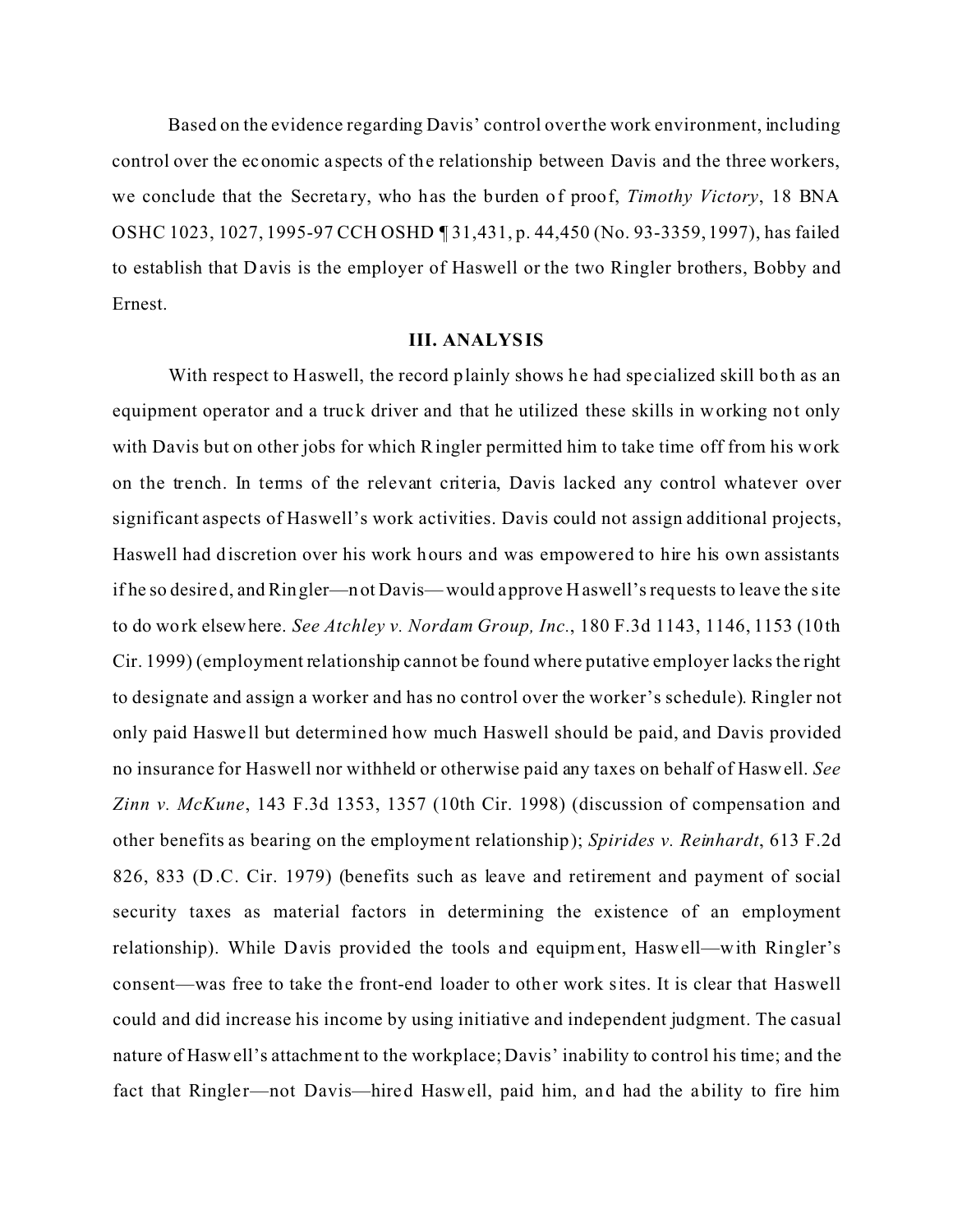Based on the evidence regarding Davis' control over the work environment, including control over the economic a spects of the relationship between Davis and the three workers, we conclude that the Secretary, who has the burden of proof, *Timothy Victory*, 18 BNA OSHC 1023, 1027, 1995-97 CCH OSHD ¶ 31,431, p. 44,450 (No. 93-3359, 1997), has failed to establish that D avis is the employer of Haswell or the two Ringler brothers, Bobby and Ernest.

#### **III. ANALYSIS**

With respect to Haswell, the record plainly shows he had specialized skill both as an equipment operator and a truck driver and that he utilized these skills in working not only with Davis but on other jobs for which Ringler permitted him to take time off from his work on the trench. In terms of the relevant criteria, Davis lacked any control whatever over significant aspects of Haswell's work activities. Davis could not assign additional projects, Haswell had discretion over his work hours and was empowered to hire his own assistants if he so desired, and Ringler—not Davis—would approve Haswell's requests to leave the site to do work elsewhere. *See Atchley v. Nordam Group, Inc.*, 180 F.3d 1143, 1146, 1153 (10th Cir. 1999) (employment relationship cannot be found where putative employer lacks the right to designate and assign a worker and has no control over the worker's schedule). Ringler not only paid Haswe ll but determined how much Haswell should be paid, and Davis provided no insurance for Haswell nor withheld or otherwise paid any taxes on behalf of Haswell. *See Zinn v. McKune*, 143 F.3d 1353, 1357 (10th Cir. 1998) (discussion of compensation and other benefits as bearing on the employment relationship); *Spirides v. Reinhardt*, 613 F.2d 826, 833 (D .C. Cir. 1979) (benefits such as leave and retirement and payment of social security taxes as material factors in determining the existence of an employment relationship). While Davis provided the tools and equipment, Haswell—with Ringler's consent—was free to take the front-end loader to other work sites. It is clear that Haswell could and did increase his income by using initiative and independent judgment. The casual nature of Haswell's attachment to the workplace; Davis' inability to control his time; and the fact that Ringler—not Davis—hired Haswell, paid him, and had the ability to fire him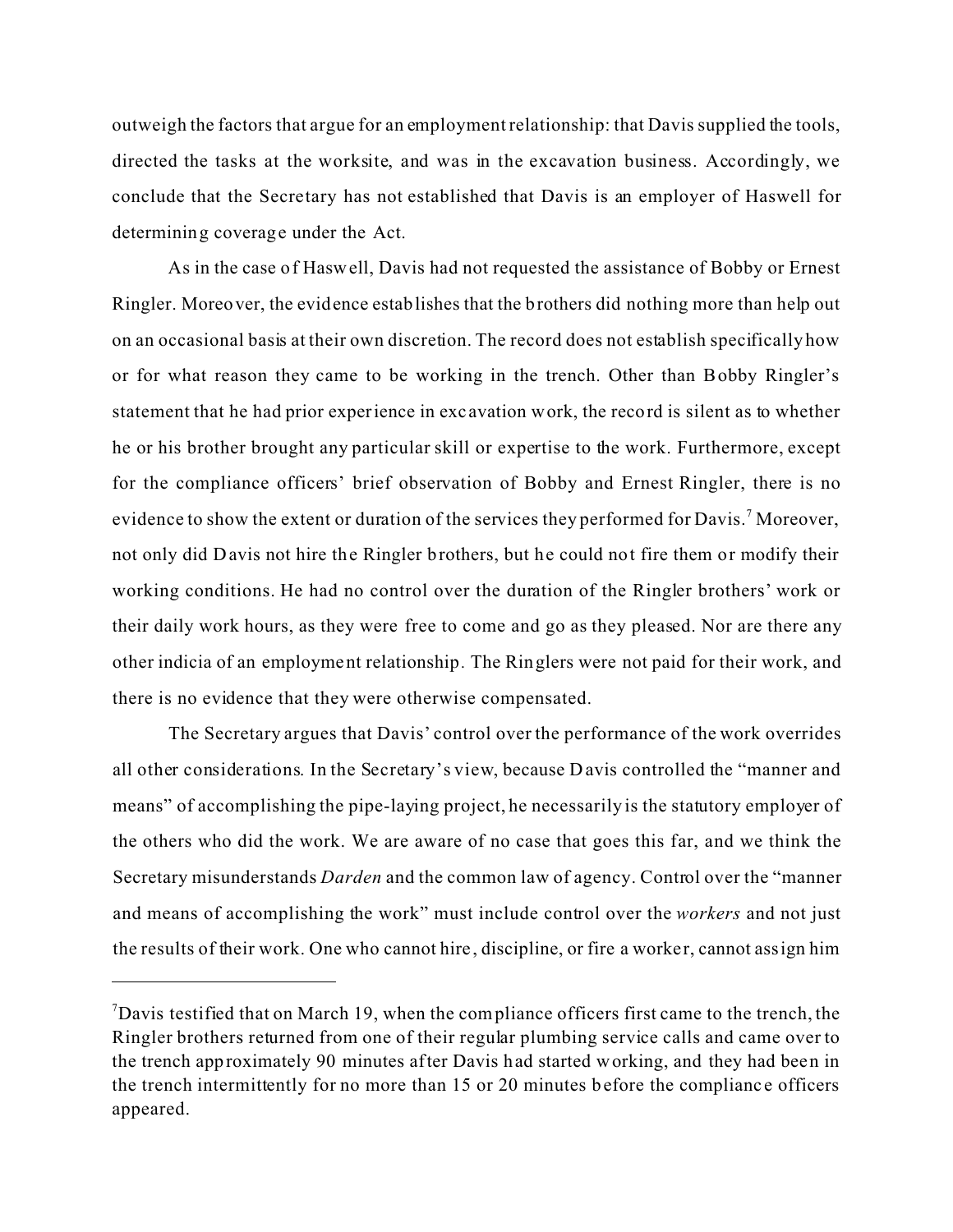outweigh the factors that argue for an employment relationship: that Davis supplied the tools, directed the tasks at the worksite, and was in the excavation business. Accordingly, we conclude that the Secretary has not established that Davis is an employer of Haswell for determining coverage under the Act.

As in the case of Haswell, Davis had not requested the assistance of Bobby or Ernest Ringler. Moreover, the evidence establishes that the brothers did nothing more than help out on an occasional basis at their own discretion. The record does not establish specifically how or for what reason they came to be working in the trench. Other than Bobby Ringler's statement that he had prior experience in exc avation work, the record is silent as to whether he or his brother brought any particular skill or expertise to the work. Furthermore, except for the compliance officers' brief observation of Bobby and Ernest Ringler, there is no evidence to show the extent or duration of the services they performed for Davis.<sup>7</sup> Moreover, not only did Davis not hire the Ringler brothers, but he could not fire them or modify their working conditions. He had no control over the duration of the Ringler brothers' work or their daily work hours, as they were free to come and go as they pleased. Nor are there any other indicia of an employment relationship *.* The Ringlers were not paid for their work, and there is no evidence that they were otherwise compensated.

The Secretary argues that Davis' control over the performance of the work overrides all other considerations. In the Secretary's view, because D avis controlled the "manner and means" of accomplishing the pipe-laying project, he necessarily is the statutory employer of the others who did the work. We are aware of no case that goes this far, and we think the Secretary misunderstands *Darden* and the common law of agency. Control over the "manner and means of accomplishing the work" must include control over the *workers* and not just the results of their work. One who cannot hire, discipline, or fire a worker, cannot assign him

 $7$ Davis testified that on March 19, when the compliance officers first came to the trench, the Ringler brothers returned from one of their regular plumbing service calls and came over to the trench approximately 90 minutes after Davis had started working, and they had been in the trench intermittently for no more than 15 or 20 minutes before the compliance officers appeared.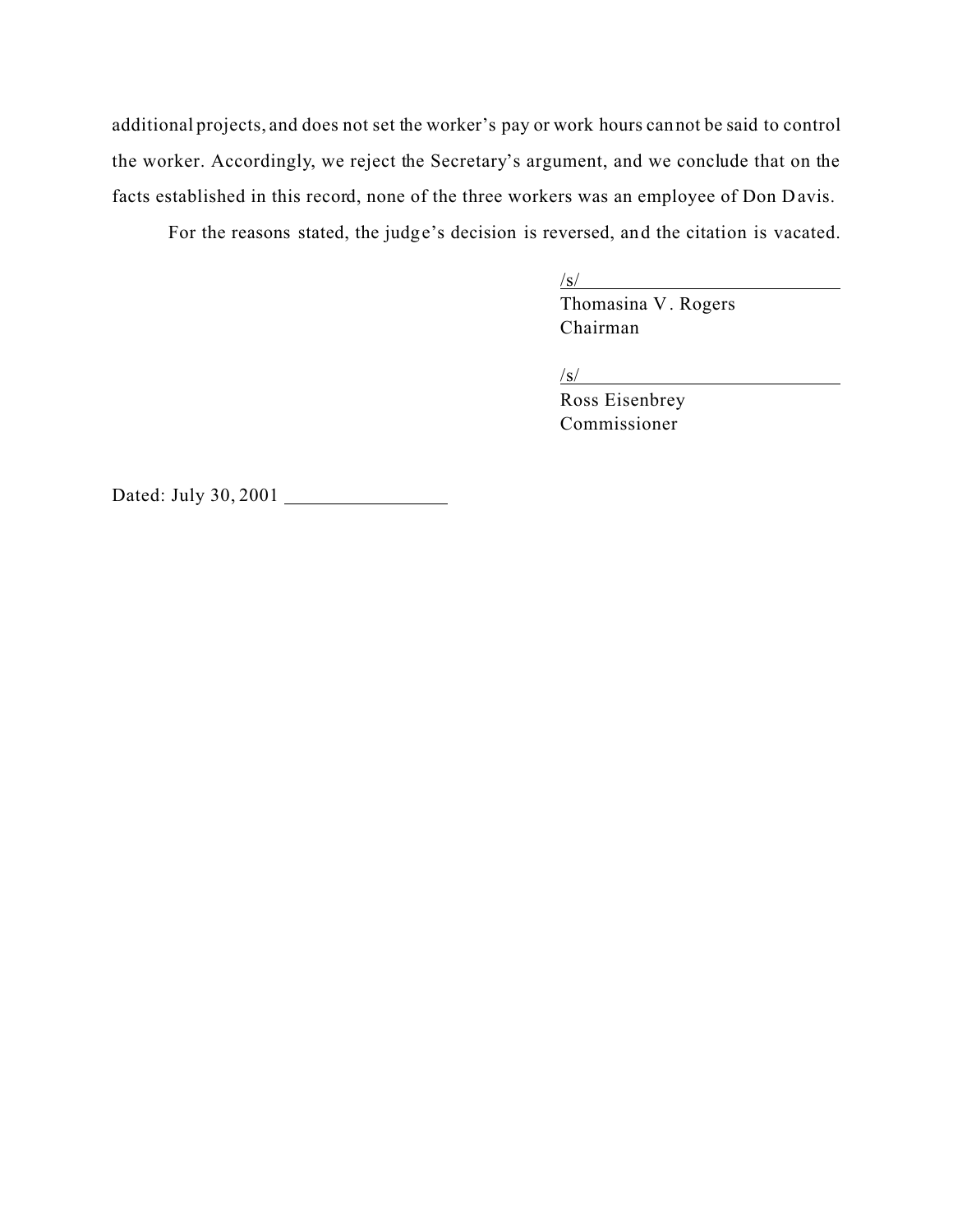additional projects, and does not set the worker's pay or work hours cannot be said to control the worker. Accordingly, we reject the Secretary's argument, and we conclude that on the facts established in this record, none of the three workers was an employee of Don Davis.

For the reasons stated, the judge's decision is reversed, and the citation is vacated.

 $\sqrt{s}$ /

Thomasina V. Rogers Chairman

/s/

Ross Eisenbrey Commissioner

Dated: July 30, 2001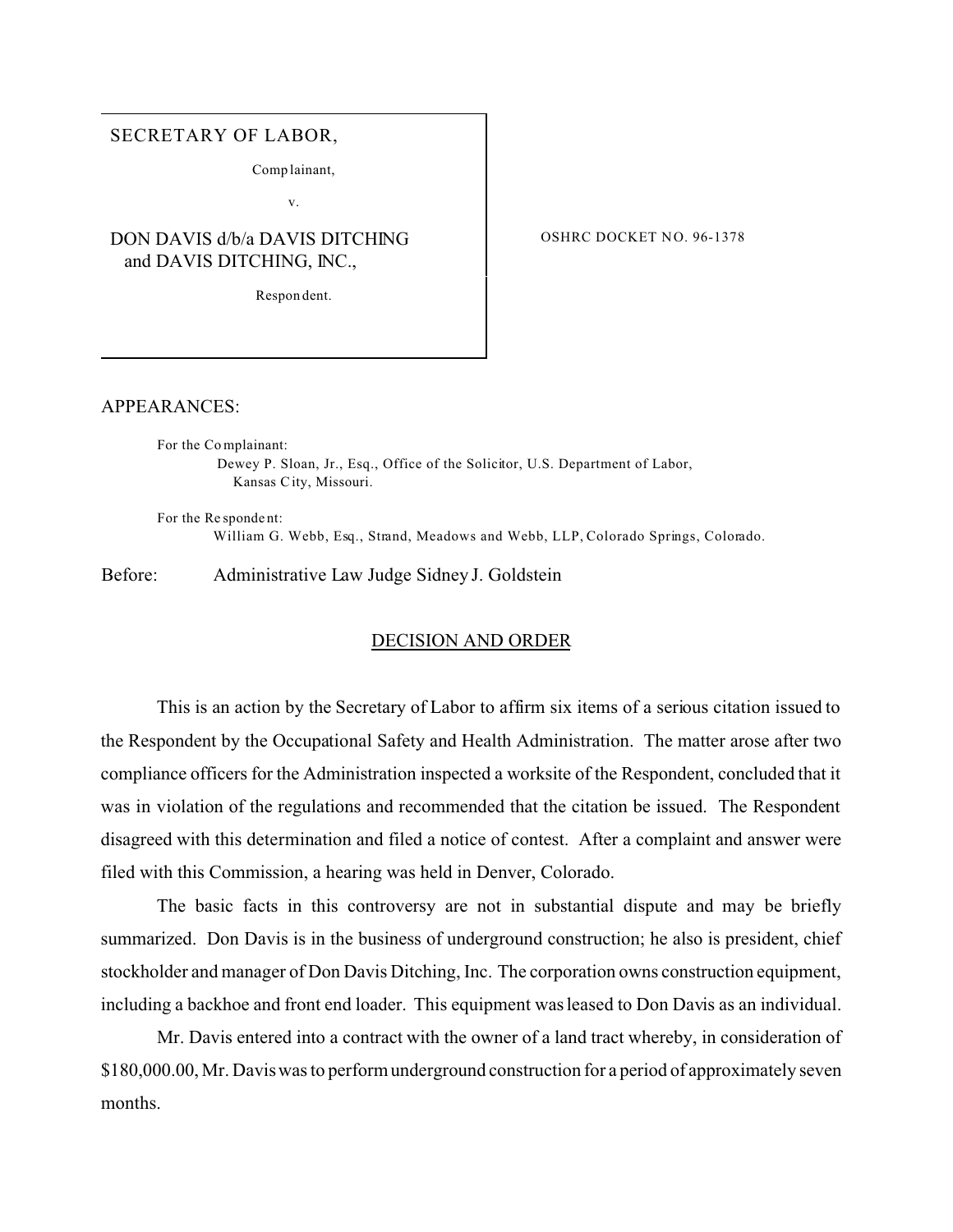#### SECRETARY OF LABOR,

Comp lainant,

v.

# DON DAVIS d/b/a DAVIS DITCHING and DAVIS DITCHING, INC.,

Respon dent.

OSHRC DOCKET NO. 96-1378

#### APPEARANCES:

For the Co mplainant: Dewey P. Sloan, Jr., Esq., Office of the Solicitor, U.S. Department of Labor, Kansas C ity, Missouri.

For the Re sponde nt: William G. Webb, Esq., Strand, Meadows and Webb, LLP, Colorado Springs, Colorado.

Before: Administrative Law Judge Sidney J. Goldstein

### DECISION AND ORDER

This is an action by the Secretary of Labor to affirm six items of a serious citation issued to the Respondent by the Occupational Safety and Health Administration. The matter arose after two compliance officers for the Administration inspected a worksite of the Respondent, concluded that it was in violation of the regulations and recommended that the citation be issued. The Respondent disagreed with this determination and filed a notice of contest. After a complaint and answer were filed with this Commission, a hearing was held in Denver, Colorado.

The basic facts in this controversy are not in substantial dispute and may be briefly summarized. Don Davis is in the business of underground construction; he also is president, chief stockholder and manager of Don Davis Ditching, Inc. The corporation owns construction equipment, including a backhoe and front end loader. This equipment was leased to Don Davis as an individual.

Mr. Davis entered into a contract with the owner of a land tract whereby, in consideration of \$180,000.00, Mr. Davis was to perform underground construction for a period of approximately seven months.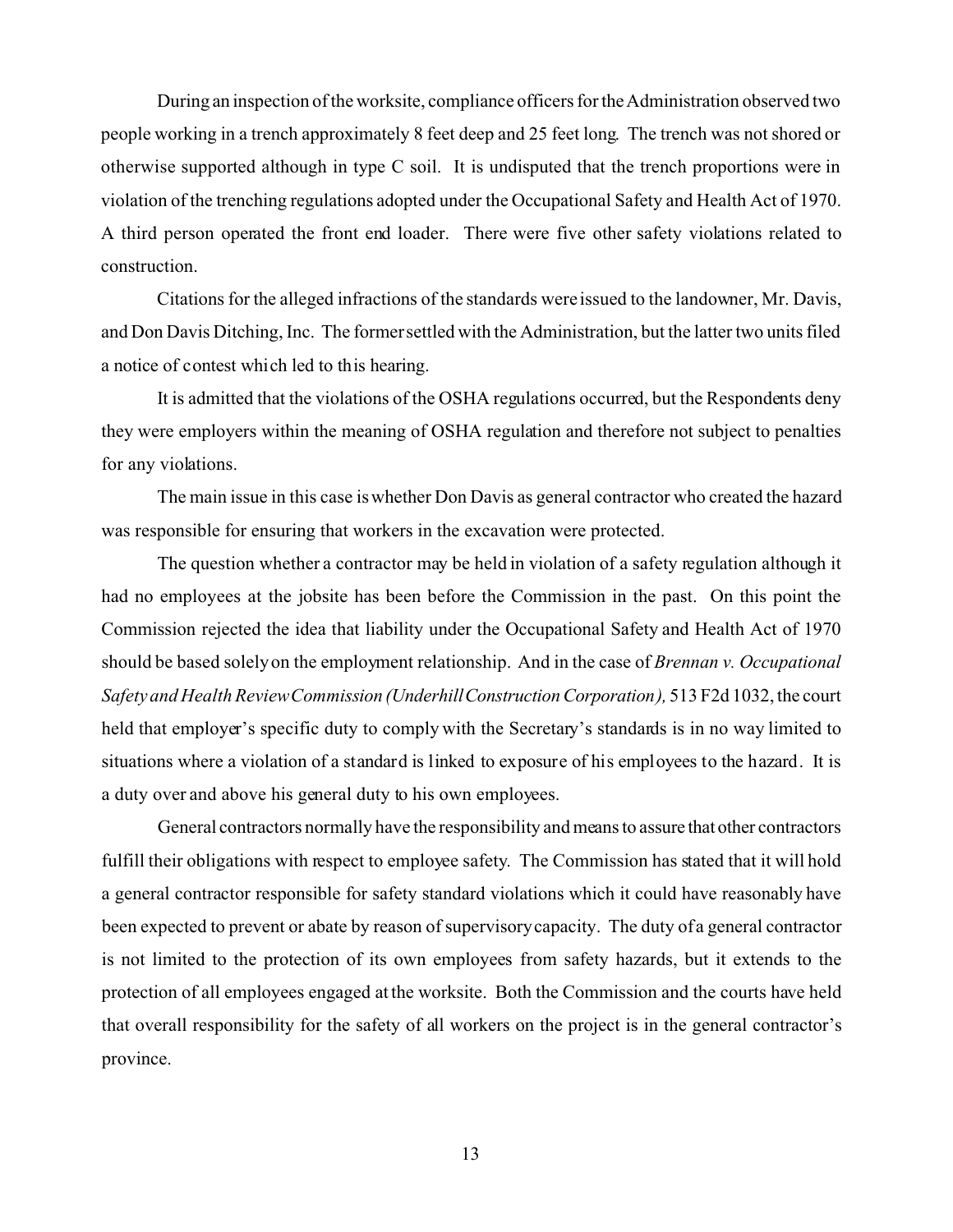During an inspection of the worksite, compliance officers for the Administration observed two people working in a trench approximately 8 feet deep and 25 feet long. The trench was not shored or otherwise supported although in type C soil. It is undisputed that the trench proportions were in violation of the trenching regulations adopted under the Occupational Safety and Health Act of 1970. A third person operated the front end loader. There were five other safety violations related to construction.

Citations for the alleged infractions of the standards were issued to the landowner, Mr. Davis, and Don Davis Ditching, Inc. The former settled with the Administration, but the latter two units filed a notice of contest which led to this hearing.

It is admitted that the violations of the OSHA regulations occurred, but the Respondents deny they were employers within the meaning of OSHA regulation and therefore not subject to penalties for any violations.

The main issue in this case is whether Don Davis as general contractor who created the hazard was responsible for ensuring that workers in the excavation were protected.

The question whether a contractor may be held in violation of a safety regulation although it had no employees at the jobsite has been before the Commission in the past. On this point the Commission rejected the idea that liability under the Occupational Safety and Health Act of 1970 should be based solely on the employment relationship. And in the case of *Brennan v. Occupational Safety and Health ReviewCommission (UnderhillConstructionCorporation),* 513 F2d 1032, the court held that employer's specific duty to comply with the Secretary's standards is in no way limited to situations where a violation of a standard is linked to exposure of his employees to the hazard. It is a duty over and above his general duty to his own employees.

General contractors normally have the responsibility and means to assure that other contractors fulfill their obligations with respect to employee safety. The Commission has stated that it will hold a general contractor responsible for safety standard violations which it could have reasonably have been expected to prevent or abate by reason of supervisory capacity. The duty of a general contractor is not limited to the protection of its own employees from safety hazards, but it extends to the protection of all employees engaged at the worksite. Both the Commission and the courts have held that overall responsibility for the safety of all workers on the project is in the general contractor's province.